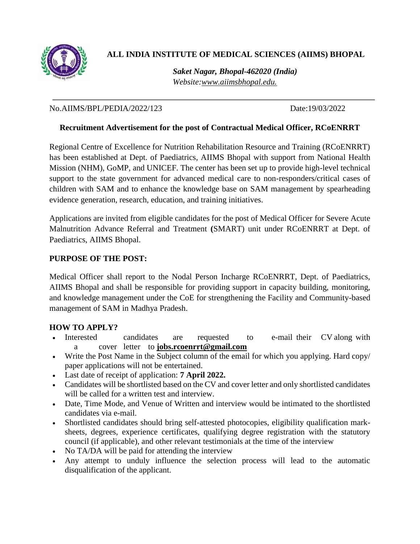

# **ALL INDIA INSTITUTE OF MEDICAL SCIENCES (AIIMS) BHOPAL**

*Saket Nagar, Bhopal-462020 (India) Website[:www.aiimsbhopal.edu.](http://www.aiimsbhopal.edu./)*

No.AIIMS/BPL/PEDIA/2022/123 Date:19/03/2022

### **Recruitment Advertisement for the post of Contractual Medical Officer, RCoENRRT**

Regional Centre of Excellence for Nutrition Rehabilitation Resource and Training (RCoENRRT) has been established at Dept. of Paediatrics, AIIMS Bhopal with support from National Health Mission (NHM), GoMP, and UNICEF. The center has been set up to provide high-level technical support to the state government for advanced medical care to non-responders/critical cases of children with SAM and to enhance the knowledge base on SAM management by spearheading evidence generation, research, education, and training initiatives.

Applications are invited from eligible candidates for the post of Medical Officer for Severe Acute Malnutrition Advance Referral and Treatment **(**SMART) unit under RCoENRRT at Dept. of Paediatrics, AIIMS Bhopal.

### **PURPOSE OF THE POST:**

Medical Officer shall report to the Nodal Person Incharge RCoENRRT, Dept. of Paediatrics, AIIMS Bhopal and shall be responsible for providing support in capacity building, monitoring, and knowledge management under the CoE for strengthening the Facility and Community-based management of SAM in Madhya Pradesh.

#### **HOW TO APPLY?**

- Interested candidates are requested to e-mail their CV along with a cover letter to **[jobs.rcoenrrt@gmail.com](mailto:jobs.rcoenrrt@gmail.com)**
- Write the Post Name in the Subject column of the email for which you applying. Hard copy/ paper applications will not be entertained.
- Last date of receipt of application: **7 April 2022.**
- Candidates will be shortlisted based on the CV and cover letter and only shortlisted candidates will be called for a written test and interview.
- Date, Time Mode, and Venue of Written and interview would be intimated to the shortlisted candidates via e-mail.
- Shortlisted candidates should bring self-attested photocopies, eligibility qualification marksheets, degrees, experience certificates, qualifying degree registration with the statutory council (if applicable), and other relevant testimonials at the time of the interview
- No TA/DA will be paid for attending the interview
- Any attempt to unduly influence the selection process will lead to the automatic disqualification of the applicant.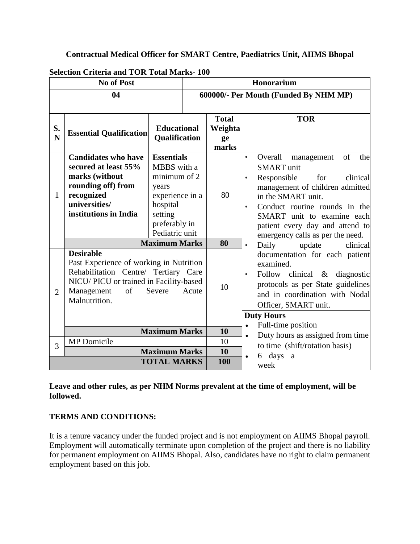#### **Contractual Medical Officer for SMART Centre, Paediatrics Unit, AIIMS Bhopal**

| <b>No of Post</b> |                                                                                                                                                                                                        |                                                                                                                                        |                                       | Honorarium                             |                                                                                                                                                                                                                                                                                                                          |                                                                                                                                                                                                 |  |
|-------------------|--------------------------------------------------------------------------------------------------------------------------------------------------------------------------------------------------------|----------------------------------------------------------------------------------------------------------------------------------------|---------------------------------------|----------------------------------------|--------------------------------------------------------------------------------------------------------------------------------------------------------------------------------------------------------------------------------------------------------------------------------------------------------------------------|-------------------------------------------------------------------------------------------------------------------------------------------------------------------------------------------------|--|
| 04                |                                                                                                                                                                                                        |                                                                                                                                        | 600000/- Per Month (Funded By NHM MP) |                                        |                                                                                                                                                                                                                                                                                                                          |                                                                                                                                                                                                 |  |
| S.<br>N           | <b>Essential Qualification</b>                                                                                                                                                                         | <b>Educational</b><br><b>Qualification</b>                                                                                             |                                       | <b>Total</b><br>Weighta<br>ge<br>marks |                                                                                                                                                                                                                                                                                                                          | <b>TOR</b>                                                                                                                                                                                      |  |
| $\mathbf{1}$      | <b>Candidates who have</b><br>secured at least 55%<br>marks (without<br>rounding off) from<br>recognized<br>universities/<br>institutions in India                                                     | <b>Essentials</b><br>MBBS with a<br>minimum of 2<br>years<br>experience in a<br>hospital<br>setting<br>preferably in<br>Pediatric unit |                                       | 80                                     | of<br>$\bullet$<br>Overall<br>management<br><b>SMART</b> unit<br>Responsible<br>for<br>clinical<br>$\bullet$<br>management of children admitted<br>in the SMART unit.<br>Conduct routine rounds in the<br>$\bullet$<br>SMART unit to examine each<br>patient every day and attend to<br>emergency calls as per the need. |                                                                                                                                                                                                 |  |
|                   |                                                                                                                                                                                                        | <b>Maximum Marks</b>                                                                                                                   |                                       | 80                                     | $\bullet$                                                                                                                                                                                                                                                                                                                | Daily<br>update<br>clinical                                                                                                                                                                     |  |
| $\overline{2}$    | <b>Desirable</b><br>Past Experience of working in Nutrition<br>Rehabilitation Centre/ Tertiary Care<br>NICU/ PICU or trained in Facility-based<br>Management<br>of<br>Severe<br>Acute<br>Malnutrition. |                                                                                                                                        |                                       | 10                                     | $\bullet$                                                                                                                                                                                                                                                                                                                | documentation for each patient<br>examined.<br>Follow clinical & diagnostic<br>protocols as per State guidelines<br>and in coordination with Nodal<br>Officer, SMART unit.<br><b>Duty Hours</b> |  |
|                   |                                                                                                                                                                                                        |                                                                                                                                        |                                       |                                        | $\bullet$                                                                                                                                                                                                                                                                                                                | Full-time position                                                                                                                                                                              |  |
|                   | <b>Maximum Marks</b>                                                                                                                                                                                   |                                                                                                                                        |                                       | 10                                     | $\bullet$                                                                                                                                                                                                                                                                                                                | Duty hours as assigned from time                                                                                                                                                                |  |
| 3                 | MP Domicile                                                                                                                                                                                            | <b>Maximum Marks</b><br><b>TOTAL MARKS</b>                                                                                             |                                       | 10<br>10<br>100                        | $\bullet$                                                                                                                                                                                                                                                                                                                | to time (shift/rotation basis)<br>days<br>6<br>a                                                                                                                                                |  |
|                   |                                                                                                                                                                                                        |                                                                                                                                        |                                       |                                        |                                                                                                                                                                                                                                                                                                                          | week                                                                                                                                                                                            |  |

**Selection Criteria and TOR Total Marks- 100** 

**Leave and other rules, as per NHM Norms prevalent at the time of employment, will be followed.** 

#### **TERMS AND CONDITIONS:**

It is a tenure vacancy under the funded project and is not employment on AIIMS Bhopal payroll. Employment will automatically terminate upon completion of the project and there is no liability for permanent employment on AIIMS Bhopal. Also, candidates have no right to claim permanent employment based on this job.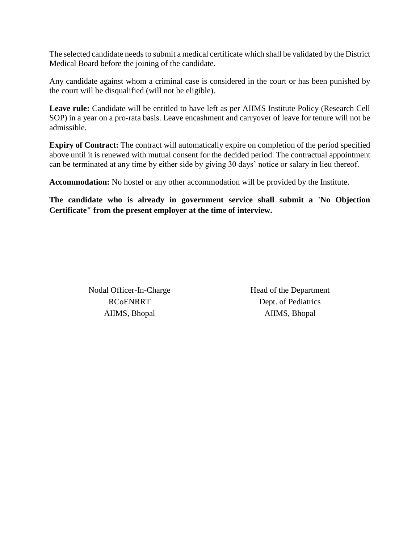The selected candidate needs to submit a medical certificate which shall be validated by the District Medical Board before the joining of the candidate.

Any candidate against whom a criminal case is considered in the court or has been punished by the court will be disqualified (will not be eligible).

Leave rule: Candidate will be entitled to have left as per AIIMS Institute Policy (Research Cell SOP) in a year on a pro-rata basis. Leave encashment and carryover of leave for tenure will not be admissible.

**Expiry of Contract:** The contract will automatically expire on completion of the period specified above until it is renewed with mutual consent for the decided period. The contractual appointment can be terminated at any time by either side by giving 30 days' notice or salary in lieu thereof.

**Accommodation:** No hostel or any other accommodation will be provided by the Institute.

**The candidate who is already in government service shall submit a 'No Objection Certificate" from the present employer at the time of interview.**

> Nodal Officer-In-Charge RCoENRRT AIIMS, Bhopal

Head of the Department Dept. of Pediatrics AIIMS, Bhopal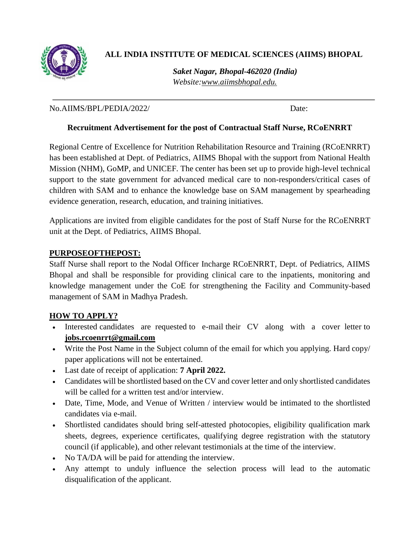

## **ALL INDIA INSTITUTE OF MEDICAL SCIENCES (AIIMS) BHOPAL**

*Saket Nagar, Bhopal-462020 (India) Website[:www.aiimsbhopal.edu.](http://www.aiimsbhopal.edu./)*

No.AIIMS/BPL/PEDIA/2022/ Date:

#### **Recruitment Advertisement for the post of Contractual Staff Nurse, RCoENRRT**

Regional Centre of Excellence for Nutrition Rehabilitation Resource and Training (RCoENRRT) has been established at Dept. of Pediatrics, AIIMS Bhopal with the support from National Health Mission (NHM), GoMP, and UNICEF. The center has been set up to provide high-level technical support to the state government for advanced medical care to non-responders/critical cases of children with SAM and to enhance the knowledge base on SAM management by spearheading evidence generation, research, education, and training initiatives.

Applications are invited from eligible candidates for the post of Staff Nurse for the RCoENRRT unit at the Dept. of Pediatrics, AIIMS Bhopal.

#### **PURPOSEOFTHEPOST:**

Staff Nurse shall report to the Nodal Officer Incharge RCoENRRT, Dept. of Pediatrics, AIIMS Bhopal and shall be responsible for providing clinical care to the inpatients, monitoring and knowledge management under the CoE for strengthening the Facility and Community-based management of SAM in Madhya Pradesh.

#### **HOW TO APPLY?**

- Interested candidates are requested to e-mail their CV along with a cover letter to **[jobs.rcoenrrt@gmail.com](mailto:jobs.rcoenrrt@gmail.com)**
- Write the Post Name in the Subject column of the email for which you applying. Hard copy/ paper applications will not be entertained.
- Last date of receipt of application: **7 April 2022.**
- Candidates will be shortlisted based on the CV and cover letter and only shortlisted candidates will be called for a written test and/or interview.
- Date, Time, Mode, and Venue of Written / interview would be intimated to the shortlisted candidates via e-mail.
- Shortlisted candidates should bring self-attested photocopies, eligibility qualification mark sheets, degrees, experience certificates, qualifying degree registration with the statutory council (if applicable), and other relevant testimonials at the time of the interview.
- No TA/DA will be paid for attending the interview.
- Any attempt to unduly influence the selection process will lead to the automatic disqualification of the applicant.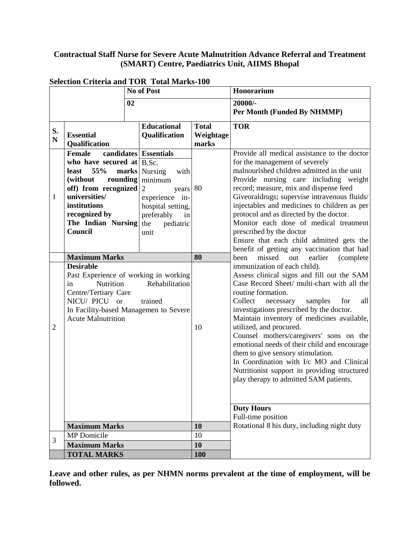## **Contractual Staff Nurse for Severe Acute Malnutrition Advance Referral and Treatment (SMART) Centre, Paediatrics Unit, AIIMS Bhopal**

| No of Post        |                                                                                                                                                                                                   |                                                                                                                                                                                    |                                    | Honorarium                                                                                                                                                                                                                                                                                                                                                                                                                                                                                                                                                                                  |  |
|-------------------|---------------------------------------------------------------------------------------------------------------------------------------------------------------------------------------------------|------------------------------------------------------------------------------------------------------------------------------------------------------------------------------------|------------------------------------|---------------------------------------------------------------------------------------------------------------------------------------------------------------------------------------------------------------------------------------------------------------------------------------------------------------------------------------------------------------------------------------------------------------------------------------------------------------------------------------------------------------------------------------------------------------------------------------------|--|
| 02                |                                                                                                                                                                                                   |                                                                                                                                                                                    |                                    | 20000/-<br>Per Month (Funded By NHMMP)                                                                                                                                                                                                                                                                                                                                                                                                                                                                                                                                                      |  |
| S.<br>$\mathbf N$ | <b>Essential</b><br>Qualification                                                                                                                                                                 | <b>Educational</b><br><b>Qualification</b>                                                                                                                                         | <b>Total</b><br>Weightage<br>marks | <b>TOR</b>                                                                                                                                                                                                                                                                                                                                                                                                                                                                                                                                                                                  |  |
| 1                 | <b>Female</b><br>who have secured at $B.Sc$ .<br>55%<br>least<br>(without)<br>rounding<br>off) from recognized<br>universities/<br>institutions<br>recognized by<br>The Indian Nursing<br>Council | candidates Essentials<br><b>marks</b> Nursing<br>with<br>minimum<br>$\overline{2}$<br>years<br>experience in-<br>hospital setting,<br>preferably<br>in<br>the<br>pediatric<br>unit | 80                                 | Provide all medical assistance to the doctor<br>for the management of severely<br>malnourished children admitted in the unit<br>Provide nursing care including weight<br>record; measure, mix and dispense feed<br>Giveoraldrugs; supervise intravenous fluids/<br>injectables and medicines to children as per<br>protocol and as directed by the doctor.<br>Monitor each dose of medical treatment<br>prescribed by the doctor<br>Ensure that each child admitted gets the<br>benefit of getting any vaccination that had                                                                 |  |
|                   | <b>Maximum Marks</b>                                                                                                                                                                              |                                                                                                                                                                                    | 80                                 | missed<br>out<br>earlier<br>(complete<br>been                                                                                                                                                                                                                                                                                                                                                                                                                                                                                                                                               |  |
| 2                 | <b>Desirable</b><br>Past Experience of working in working<br>Nutrition<br>in<br>Centre/Tertiary Care<br>NICU/ PICU or<br>In Facility-based Managemen to Severe<br><b>Acute Malnutrition</b>       | Rehabilitation<br>trained                                                                                                                                                          | 10                                 | immunization of each child).<br>Assess clinical signs and fill out the SAM<br>Case Record Sheet/ multi-chart with all the<br>routine formation.<br>all<br>Collect<br>samples<br>for<br>necessary<br>investigations prescribed by the doctor.<br>Maintain inventory of medicines available,<br>utilized, and procured.<br>Counsel mothers/caregivers' sons on the<br>emotional needs of their child and encourage<br>them to give sensory stimulation.<br>In Coordination with I/c MO and Clinical<br>Nutritionist support in providing structured<br>play therapy to admitted SAM patients. |  |
|                   |                                                                                                                                                                                                   |                                                                                                                                                                                    |                                    | <b>Duty Hours</b><br>Full-time position                                                                                                                                                                                                                                                                                                                                                                                                                                                                                                                                                     |  |
|                   | <b>Maximum Marks</b>                                                                                                                                                                              |                                                                                                                                                                                    | 10                                 | Rotational 8 his duty, including night duty                                                                                                                                                                                                                                                                                                                                                                                                                                                                                                                                                 |  |
|                   | MP Domicile                                                                                                                                                                                       |                                                                                                                                                                                    | 10                                 |                                                                                                                                                                                                                                                                                                                                                                                                                                                                                                                                                                                             |  |
| 3                 | <b>Maximum Marks</b>                                                                                                                                                                              |                                                                                                                                                                                    | 10                                 |                                                                                                                                                                                                                                                                                                                                                                                                                                                                                                                                                                                             |  |
|                   | <b>TOTAL MARKS</b>                                                                                                                                                                                |                                                                                                                                                                                    | <b>100</b>                         |                                                                                                                                                                                                                                                                                                                                                                                                                                                                                                                                                                                             |  |

### **Selection Criteria and TOR Total Marks-100**

**Leave and other rules, as per NHMN norms prevalent at the time of employment, will be followed.**